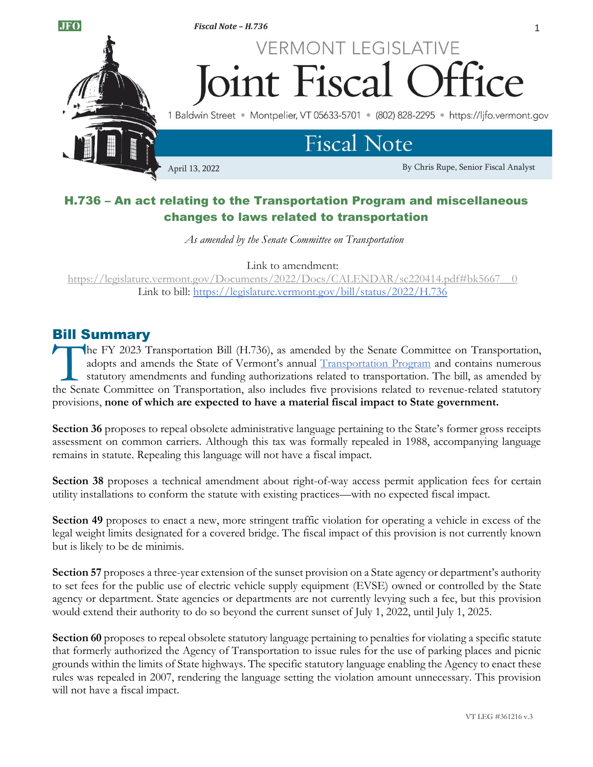

# H.736 – An act relating to the Transportation Program and miscellaneous changes to laws related to transportation

*As amended by the Senate Committee on Transportation*

Link to amendment:

[https://legislature.vermont.gov/Documents/2022/Docs/CALENDAR/sc220414.pdf#bk5667\\_\\_0](https://legislature.vermont.gov/Documents/2022/Docs/CALENDAR/sc220414.pdf#bk5667__0) Link to bill:<https://legislature.vermont.gov/bill/status/2022/H.736>

## Bill Summary

he FY 2023 Transportation Bill (H.736), as amended by the Senate Committee on Transportation, adopts and amends the State of Vermont's annual [Transportation Program](https://vtrans.vermont.gov/about/capital-programs/2023) and contains numerous statutory amendments and funding authorizations related to transportation. The bill, as amended by The FY 2023 Transportation Bill (H.736), as amended by the Senate Committee on Transportation, adopts and amends the State of Vermont's annual <u>Transportation Program</u> and contains numerous statutory amendments and funding provisions, **none of which are expected to have a material fiscal impact to State government.**

**Section 36** proposes to repeal obsolete administrative language pertaining to the State's former gross receipts assessment on common carriers. Although this tax was formally repealed in 1988, accompanying language remains in statute. Repealing this language will not have a fiscal impact.

**Section 38** proposes a technical amendment about right-of-way access permit application fees for certain utility installations to conform the statute with existing practices—with no expected fiscal impact.

**Section 49** proposes to enact a new, more stringent traffic violation for operating a vehicle in excess of the legal weight limits designated for a covered bridge. The fiscal impact of this provision is not currently known but is likely to be de minimis.

**Section 57** proposes a three-year extension of the sunset provision on a State agency or department's authority to set fees for the public use of electric vehicle supply equipment (EVSE) owned or controlled by the State agency or department. State agencies or departments are not currently levying such a fee, but this provision would extend their authority to do so beyond the current sunset of July 1, 2022, until July 1, 2025.

**Section 60** proposes to repeal obsolete statutory language pertaining to penalties for violating a specific statute that formerly authorized the Agency of Transportation to issue rules for the use of parking places and picnic grounds within the limits of State highways. The specific statutory language enabling the Agency to enact these rules was repealed in 2007, rendering the language setting the violation amount unnecessary. This provision will not have a fiscal impact.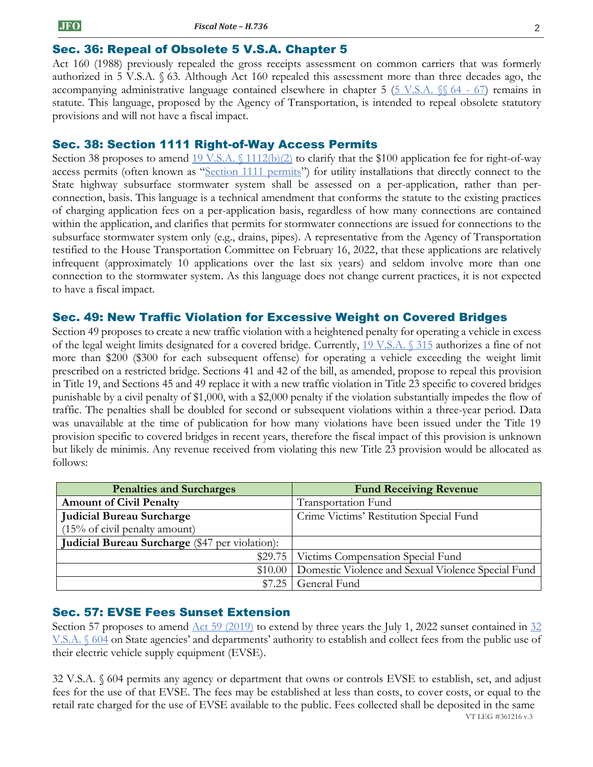### Sec. 36: Repeal of Obsolete 5 V.S.A. Chapter 5

Act 160 (1988) previously repealed the gross receipts assessment on common carriers that was formerly authorized in 5 V.S.A. § 63. Although Act 160 repealed this assessment more than three decades ago, the accompanying administrative language contained elsewhere in chapter 5 ( $5 \text{ V.S.A. }$  §§ 64 - 67) remains in statute. This language, proposed by the Agency of Transportation, is intended to repeal obsolete statutory provisions and will not have a fiscal impact.

#### Sec. 38: Section 1111 Right-of-Way Access Permits

Section 38 proposes to amend  $19 \text{ V.S.A.} \{(1112(b)(2) \text{ to clarify that the $100 application fee for right-of-way})\}$ access permits (often known as "[Section 1111 permits](https://legislature.vermont.gov/statutes/section/19/011/01111)") for utility installations that directly connect to the State highway subsurface stormwater system shall be assessed on a per-application, rather than perconnection, basis. This language is a technical amendment that conforms the statute to the existing practices of charging application fees on a per-application basis, regardless of how many connections are contained within the application, and clarifies that permits for stormwater connections are issued for connections to the subsurface stormwater system only (e.g., drains, pipes). A representative from the Agency of Transportation testified to the House Transportation Committee on February 16, 2022, that these applications are relatively infrequent (approximately 10 applications over the last six years) and seldom involve more than one connection to the stormwater system. As this language does not change current practices, it is not expected to have a fiscal impact.

### Sec. 49: New Traffic Violation for Excessive Weight on Covered Bridges

Section 49 proposes to create a new traffic violation with a heightened penalty for operating a vehicle in excess of the legal weight limits designated for a covered bridge. Currently, [19 V.S.A. §](https://legislature.vermont.gov/statutes/section/19/003/00315) 315 authorizes a fine of not more than \$200 (\$300 for each subsequent offense) for operating a vehicle exceeding the weight limit prescribed on a restricted bridge. Sections 41 and 42 of the bill, as amended, propose to repeal this provision in Title 19, and Sections 45 and 49 replace it with a new traffic violation in Title 23 specific to covered bridges punishable by a civil penalty of \$1,000, with a \$2,000 penalty if the violation substantially impedes the flow of traffic. The penalties shall be doubled for second or subsequent violations within a three-year period. Data was unavailable at the time of publication for how many violations have been issued under the Title 19 provision specific to covered bridges in recent years, therefore the fiscal impact of this provision is unknown but likely de minimis. Any revenue received from violating this new Title 23 provision would be allocated as follows:

| <b>Penalties and Surcharges</b>                 | <b>Fund Receiving Revenue</b>                      |
|-------------------------------------------------|----------------------------------------------------|
| <b>Amount of Civil Penalty</b>                  | <b>Transportation Fund</b>                         |
| <b>Judicial Bureau Surcharge</b>                | Crime Victims' Restitution Special Fund            |
| $(15\% \text{ of civil penalty amount})$        |                                                    |
| Judicial Bureau Surcharge (\$47 per violation): |                                                    |
|                                                 | \$29.75   Victims Compensation Special Fund        |
| \$10.00                                         | Domestic Violence and Sexual Violence Special Fund |
| \$7.25                                          | General Fund                                       |

#### Sec. 57: EVSE Fees Sunset Extension

Section 57 proposes to amend [Act 59 \(2019\)](https://legislature.vermont.gov/Documents/2020/Docs/ACTS/ACT059/ACT059%20As%20Enacted.pdf) to extend by three years the July 1, 2022 sunset contained in 32 [V.S.A. §](https://legislature.vermont.gov/statutes/section/32/007/00604) 604 on State agencies' and departments' authority to establish and collect fees from the public use of their electric vehicle supply equipment (EVSE).

VT LEG #361216 v.3 32 V.S.A. § 604 permits any agency or department that owns or controls EVSE to establish, set, and adjust fees for the use of that EVSE. The fees may be established at less than costs, to cover costs, or equal to the retail rate charged for the use of EVSE available to the public. Fees collected shall be deposited in the same